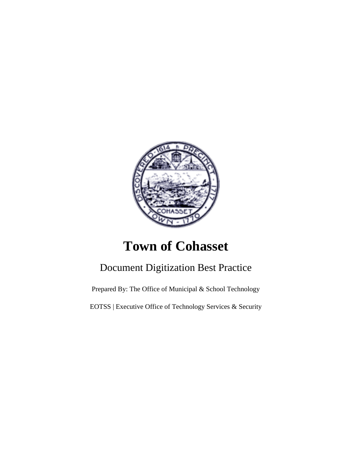

# **Town of Cohasset**

# Document Digitization Best Practice

Prepared By: The Office of Municipal & School Technology

EOTSS | Executive Office of Technology Services & Security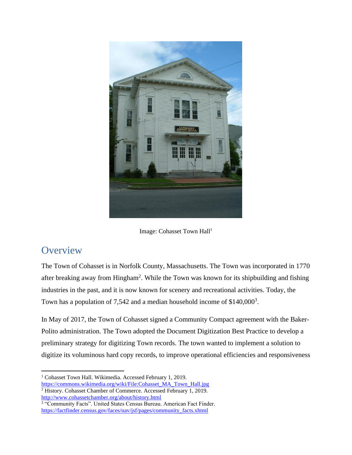

Image: Cohasset Town Hall<sup>1</sup>

#### **Overview**

The Town of Cohasset is in Norfolk County, Massachusetts. The Town was incorporated in 1770 after breaking away from Hingham<sup>2</sup>. While the Town was known for its shipbuilding and fishing industries in the past, and it is now known for scenery and recreational activities. Today, the Town has a population of 7,542 and a median household income of  $$140,000^3$ .

In May of 2017, the Town of Cohasset signed a Community Compact agreement with the Baker-Polito administration. The Town adopted the Document Digitization Best Practice to develop a preliminary strategy for digitizing Town records. The town wanted to implement a solution to digitize its voluminous hard copy records, to improve operational efficiencies and responsiveness

<sup>&</sup>lt;sup>1</sup> Cohasset Town Hall. Wikimedia. Accessed February 1, 2019. [https://commons.wikimedia.org/wiki/File:Cohasset\\_MA\\_Town\\_Hall.jpg](https://commons.wikimedia.org/wiki/File:Cohasset_MA_Town_Hall.jpg)

<sup>&</sup>lt;sup>2</sup> History. Cohasset Chamber of Commerce. Accessed February 1, 2019.

<http://www.cohassetchamber.org/about/history.html><br><sup>3</sup> "Community Facts". United States Census Bureau. American Fact Finder. [https://factfinder.census.gov/faces/nav/jsf/pages/community\\_facts.xhtml](https://factfinder.census.gov/faces/nav/jsf/pages/community_facts.xhtml)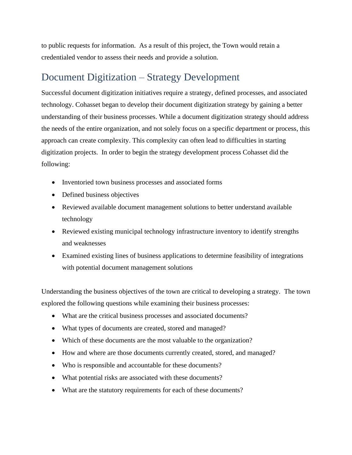to public requests for information. As a result of this project, the Town would retain a credentialed vendor to assess their needs and provide a solution.

### Document Digitization – Strategy Development

Successful document digitization initiatives require a strategy, defined processes, and associated technology. Cohasset began to develop their document digitization strategy by gaining a better understanding of their business processes. While a document digitization strategy should address the needs of the entire organization, and not solely focus on a specific department or process, this approach can create complexity. This complexity can often lead to difficulties in starting digitization projects. In order to begin the strategy development process Cohasset did the following:

- Inventoried town business processes and associated forms
- Defined business objectives
- Reviewed available document management solutions to better understand available technology
- Reviewed existing municipal technology infrastructure inventory to identify strengths and weaknesses
- Examined existing lines of business applications to determine feasibility of integrations with potential document management solutions

Understanding the business objectives of the town are critical to developing a strategy. The town explored the following questions while examining their business processes:

- What are the critical business processes and associated documents?
- What types of documents are created, stored and managed?
- Which of these documents are the most valuable to the organization?
- How and where are those documents currently created, stored, and managed?
- Who is responsible and accountable for these documents?
- What potential risks are associated with these documents?
- What are the statutory requirements for each of these documents?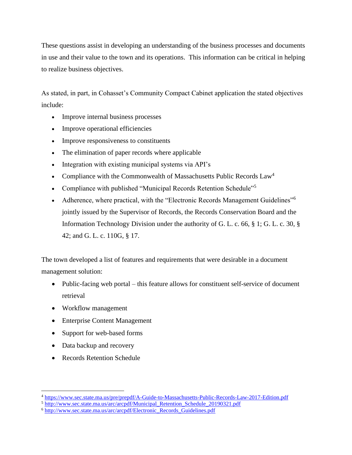These questions assist in developing an understanding of the business processes and documents in use and their value to the town and its operations. This information can be critical in helping to realize business objectives.

As stated, in part, in Cohasset's Community Compact Cabinet application the stated objectives include:

- Improve internal business processes
- Improve operational efficiencies
- Improve responsiveness to constituents
- The elimination of paper records where applicable
- Integration with existing municipal systems via API's
- Compliance with the Commonwealth of Massachusetts Public Records  $Law<sup>4</sup>$
- Compliance with published "Municipal Records Retention Schedule"<sup>5</sup>
- Adherence, where practical, with the "Electronic Records Management Guidelines"<sup>6</sup> jointly issued by the Supervisor of Records, the Records Conservation Board and the Information Technology Division under the authority of G. L. c. 66, § 1; G. L. c. 30, § 42; and G. L. c. 110G, § 17.

The town developed a list of features and requirements that were desirable in a document management solution:

- Public-facing web portal this feature allows for constituent self-service of document retrieval
- Workflow management
- Enterprise Content Management
- Support for web-based forms
- Data backup and recovery
- Records Retention Schedule

<sup>4</sup> <https://www.sec.state.ma.us/pre/prepdf/A-Guide-to-Massachusetts-Public-Records-Law-2017-Edition.pdf>

<sup>&</sup>lt;sup>5</sup> http://www.sec.state.ma.us/arc/arcpdf/Municipal Retention Schedule 20190321.pdf

<sup>&</sup>lt;sup>6</sup> [http://www.sec.state.ma.us/arc/arcpdf/Electronic\\_Records\\_Guidelines.pdf](http://www.sec.state.ma.us/arc/arcpdf/Electronic_Records_Guidelines.pdf)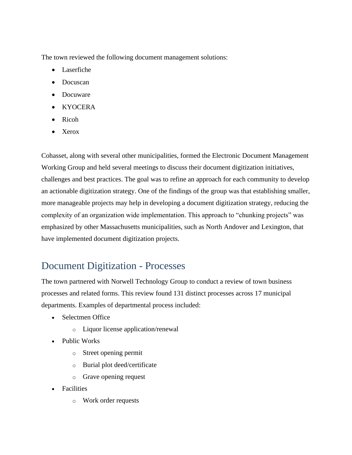The town reviewed the following document management solutions:

- Laserfiche
- Docuscan
- Docuware
- KYOCERA
- Ricoh
- Xerox

Cohasset, along with several other municipalities, formed the Electronic Document Management Working Group and held several meetings to discuss their document digitization initiatives, challenges and best practices. The goal was to refine an approach for each community to develop an actionable digitization strategy. One of the findings of the group was that establishing smaller, more manageable projects may help in developing a document digitization strategy, reducing the complexity of an organization wide implementation. This approach to "chunking projects" was emphasized by other Massachusetts municipalities, such as North Andover and Lexington, that have implemented document digitization projects.

### Document Digitization - Processes

The town partnered with Norwell Technology Group to conduct a review of town business processes and related forms. This review found 131 distinct processes across 17 municipal departments. Examples of departmental process included:

- Selectmen Office
	- o Liquor license application/renewal
- Public Works
	- o Street opening permit
	- o Burial plot deed/certificate
	- o Grave opening request
- **Facilities** 
	- o Work order requests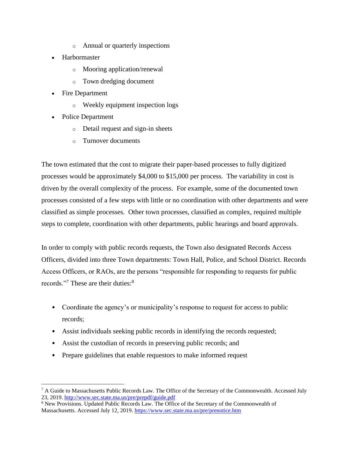- o Annual or quarterly inspections
- Harbormaster
	- o Mooring application/renewal
	- o Town dredging document
- **Fire Department** 
	- o Weekly equipment inspection logs
- Police Department
	- o Detail request and sign-in sheets
	- o Turnover documents

The town estimated that the cost to migrate their paper-based processes to fully digitized processes would be approximately \$4,000 to \$15,000 per process. The variability in cost is driven by the overall complexity of the process. For example, some of the documented town processes consisted of a few steps with little or no coordination with other departments and were classified as simple processes. Other town processes, classified as complex, required multiple steps to complete, coordination with other departments, public hearings and board approvals.

In order to comply with public records requests, the Town also designated Records Access Officers, divided into three Town departments: Town Hall, Police, and School District. Records Access Officers, or RAOs, are the persons "responsible for responding to requests for public records."<sup>7</sup> These are their duties:<sup>8</sup>

- Coordinate the agency's or municipality's response to request for access to public records;
- Assist individuals seeking public records in identifying the records requested;
- Assist the custodian of records in preserving public records; and
- Prepare guidelines that enable requestors to make informed request

<sup>7</sup> A Guide to Massachusetts Public Records Law. The Office of the Secretary of the Commonwealth. Accessed July 23, 2019.<http://www.sec.state.ma.us/pre/prepdf/guide.pdf>

<sup>8</sup> New Provisions. Updated Public Records Law. The Office of the Secretary of the Commonwealth of Massachusetts. Accessed July 12, 2019.<https://www.sec.state.ma.us/pre/prenotice.htm>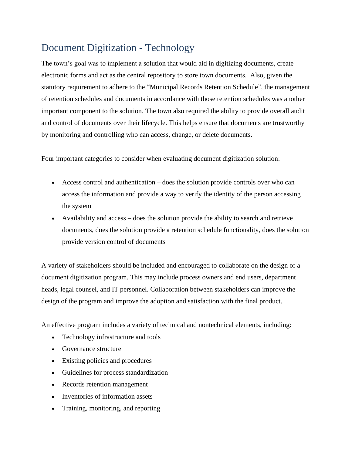## Document Digitization - Technology

The town's goal was to implement a solution that would aid in digitizing documents, create electronic forms and act as the central repository to store town documents. Also, given the statutory requirement to adhere to the "Municipal Records Retention Schedule", the management of retention schedules and documents in accordance with those retention schedules was another important component to the solution. The town also required the ability to provide overall audit and control of documents over their lifecycle. This helps ensure that documents are trustworthy by monitoring and controlling who can access, change, or delete documents.

Four important categories to consider when evaluating document digitization solution:

- Access control and authentication does the solution provide controls over who can access the information and provide a way to verify the identity of the person accessing the system
- Availability and access does the solution provide the ability to search and retrieve documents, does the solution provide a retention schedule functionality, does the solution provide version control of documents

A variety of stakeholders should be included and encouraged to collaborate on the design of a document digitization program. This may include process owners and end users, department heads, legal counsel, and IT personnel. Collaboration between stakeholders can improve the design of the program and improve the adoption and satisfaction with the final product.

An effective program includes a variety of technical and nontechnical elements, including:

- Technology infrastructure and tools
- Governance structure
- Existing policies and procedures
- Guidelines for process standardization
- Records retention management
- Inventories of information assets
- Training, monitoring, and reporting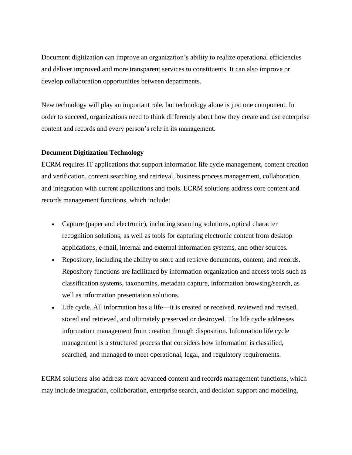Document digitization can improve an organization's ability to realize operational efficiencies and deliver improved and more transparent services to constituents. It can also improve or develop collaboration opportunities between departments.

New technology will play an important role, but technology alone is just one component. In order to succeed, organizations need to think differently about how they create and use enterprise content and records and every person's role in its management.

#### **Document Digitization Technology**

ECRM requires IT applications that support information life cycle management, content creation and verification, content searching and retrieval, business process management, collaboration, and integration with current applications and tools. ECRM solutions address core content and records management functions, which include:

- Capture (paper and electronic), including scanning solutions, optical character recognition solutions, as well as tools for capturing electronic content from desktop applications, e-mail, internal and external information systems, and other sources.
- Repository, including the ability to store and retrieve documents, content, and records. Repository functions are facilitated by information organization and access tools such as classification systems, taxonomies, metadata capture, information browsing/search, as well as information presentation solutions.
- Life cycle. All information has a life—it is created or received, reviewed and revised, stored and retrieved, and ultimately preserved or destroyed. The life cycle addresses information management from creation through disposition. Information life cycle management is a structured process that considers how information is classified, searched, and managed to meet operational, legal, and regulatory requirements.

ECRM solutions also address more advanced content and records management functions, which may include integration, collaboration, enterprise search, and decision support and modeling.